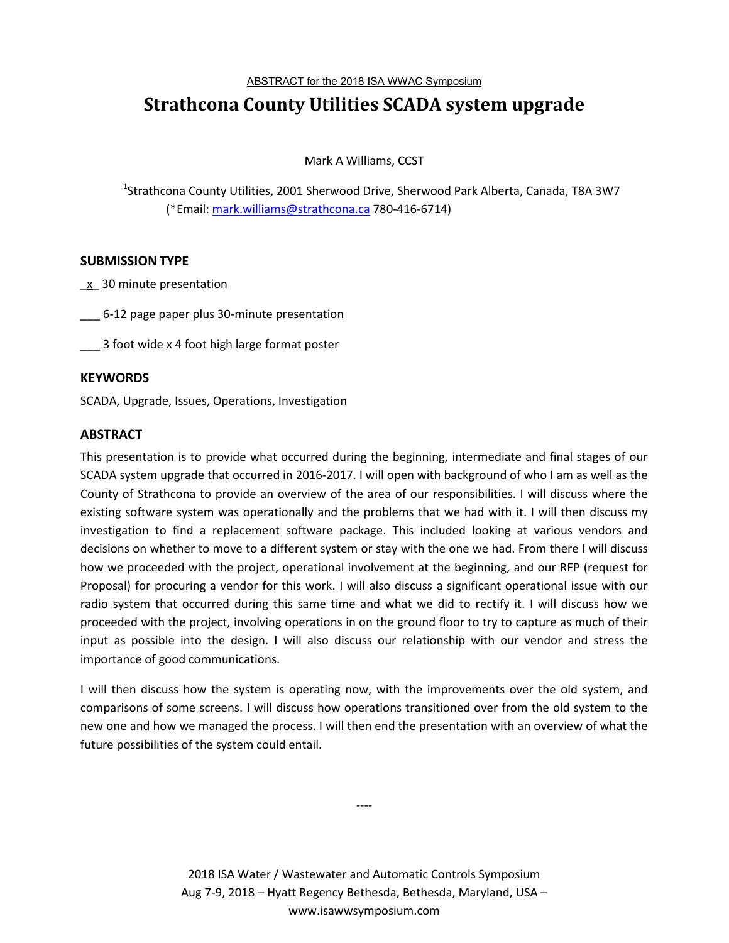ABSTRACT for the 2018 ISA WWAC Symposium

# **Strathcona County Utilities SCADA system upgrade**

Mark A Williams, CCST

<sup>1</sup>Strathcona County Utilities, 2001 Sherwood Drive, Sherwood Park Alberta, Canada, T8A 3W7 (\*Email: mark.williams@strathcona.ca 780-416-6714)

### **SUBMISSION TYPE**

- $\underline{x}$  30 minute presentation
- \_\_\_ 6-12 page paper plus 30-minute presentation
- 3 foot wide x 4 foot high large format poster

## **KEYWORDS**

SCADA, Upgrade, Issues, Operations, Investigation

## **ABSTRACT**

This presentation is to provide what occurred during the beginning, intermediate and final stages of our SCADA system upgrade that occurred in 2016-2017. I will open with background of who I am as well as the County of Strathcona to provide an overview of the area of our responsibilities. I will discuss where the existing software system was operationally and the problems that we had with it. I will then discuss my investigation to find a replacement software package. This included looking at various vendors and decisions on whether to move to a different system or stay with the one we had. From there I will discuss how we proceeded with the project, operational involvement at the beginning, and our RFP (request for Proposal) for procuring a vendor for this work. I will also discuss a significant operational issue with our radio system that occurred during this same time and what we did to rectify it. I will discuss how we proceeded with the project, involving operations in on the ground floor to try to capture as much of their input as possible into the design. I will also discuss our relationship with our vendor and stress the importance of good communications.

I will then discuss how the system is operating now, with the improvements over the old system, and comparisons of some screens. I will discuss how operations transitioned over from the old system to the new one and how we managed the process. I will then end the presentation with an overview of what the future possibilities of the system could entail.

> 2018 ISA Water / Wastewater and Automatic Controls Symposium Aug 7-9, 2018 – Hyatt Regency Bethesda, Bethesda, Maryland, USA – www.isawwsymposium.com

----